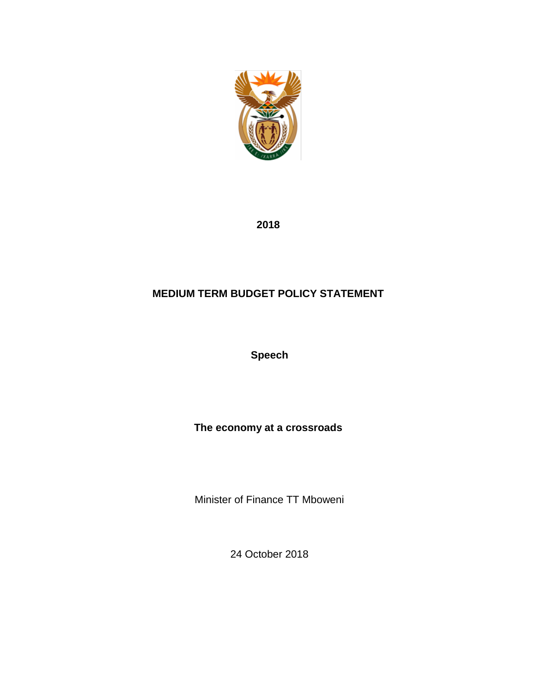

**2018**

# **MEDIUM TERM BUDGET POLICY STATEMENT**

**Speech**

**The economy at a crossroads**

Minister of Finance TT Mboweni

24 October 2018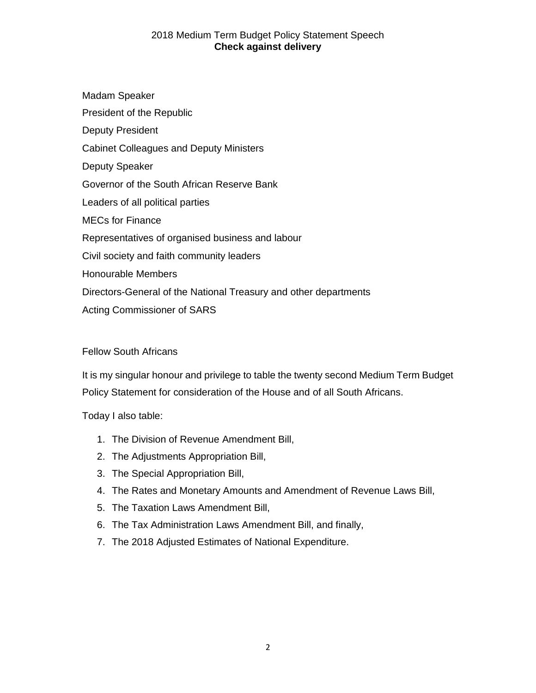## 2018 Medium Term Budget Policy Statement Speech **Check against delivery**

Madam Speaker President of the Republic Deputy President Cabinet Colleagues and Deputy Ministers Deputy Speaker Governor of the South African Reserve Bank Leaders of all political parties MECs for Finance Representatives of organised business and labour Civil society and faith community leaders Honourable Members Directors-General of the National Treasury and other departments Acting Commissioner of SARS

## Fellow South Africans

It is my singular honour and privilege to table the twenty second Medium Term Budget Policy Statement for consideration of the House and of all South Africans.

Today I also table:

- 1. The Division of Revenue Amendment Bill,
- 2. The Adjustments Appropriation Bill,
- 3. The Special Appropriation Bill,
- 4. The Rates and Monetary Amounts and Amendment of Revenue Laws Bill,
- 5. The Taxation Laws Amendment Bill,
- 6. The Tax Administration Laws Amendment Bill, and finally,
- 7. The 2018 Adjusted Estimates of National Expenditure.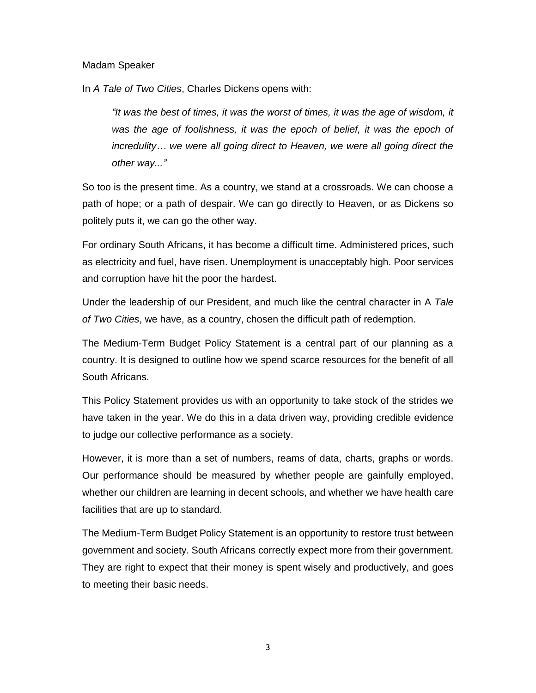#### Madam Speaker

In *A Tale of Two Cities*, Charles Dickens opens with:

*"It was the best of times, it was the worst of times, it was the age of wisdom, it*  was the age of foolishness, it was the epoch of belief, it was the epoch of *incredulity… we were all going direct to Heaven, we were all going direct the other way..."*

So too is the present time. As a country, we stand at a crossroads. We can choose a path of hope; or a path of despair. We can go directly to Heaven, or as Dickens so politely puts it, we can go the other way.

For ordinary South Africans, it has become a difficult time. Administered prices, such as electricity and fuel, have risen. Unemployment is unacceptably high. Poor services and corruption have hit the poor the hardest.

Under the leadership of our President, and much like the central character in A *Tale of Two Cities*, we have, as a country, chosen the difficult path of redemption.

The Medium-Term Budget Policy Statement is a central part of our planning as a country. It is designed to outline how we spend scarce resources for the benefit of all South Africans.

This Policy Statement provides us with an opportunity to take stock of the strides we have taken in the year. We do this in a data driven way, providing credible evidence to judge our collective performance as a society.

However, it is more than a set of numbers, reams of data, charts, graphs or words. Our performance should be measured by whether people are gainfully employed, whether our children are learning in decent schools, and whether we have health care facilities that are up to standard.

The Medium-Term Budget Policy Statement is an opportunity to restore trust between government and society. South Africans correctly expect more from their government. They are right to expect that their money is spent wisely and productively, and goes to meeting their basic needs.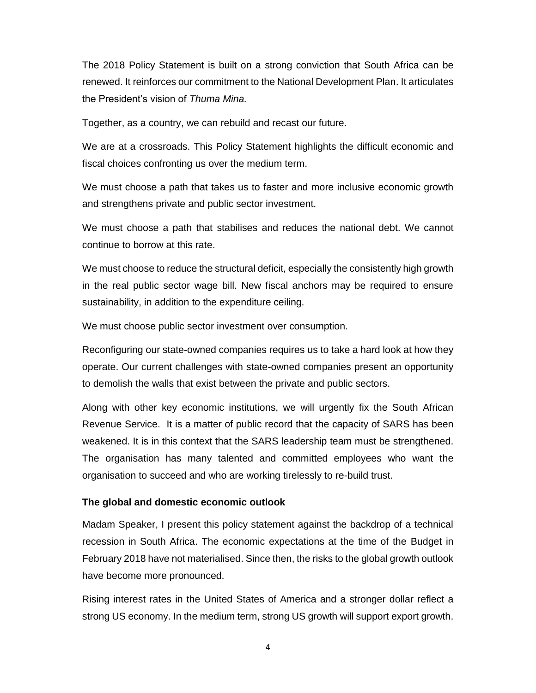The 2018 Policy Statement is built on a strong conviction that South Africa can be renewed. It reinforces our commitment to the National Development Plan. It articulates the President's vision of *Thuma Mina.* 

Together, as a country, we can rebuild and recast our future.

We are at a crossroads. This Policy Statement highlights the difficult economic and fiscal choices confronting us over the medium term.

We must choose a path that takes us to faster and more inclusive economic growth and strengthens private and public sector investment.

We must choose a path that stabilises and reduces the national debt. We cannot continue to borrow at this rate.

We must choose to reduce the structural deficit, especially the consistently high growth in the real public sector wage bill. New fiscal anchors may be required to ensure sustainability, in addition to the expenditure ceiling.

We must choose public sector investment over consumption.

Reconfiguring our state-owned companies requires us to take a hard look at how they operate. Our current challenges with state-owned companies present an opportunity to demolish the walls that exist between the private and public sectors.

Along with other key economic institutions, we will urgently fix the South African Revenue Service. It is a matter of public record that the capacity of SARS has been weakened. It is in this context that the SARS leadership team must be strengthened. The organisation has many talented and committed employees who want the organisation to succeed and who are working tirelessly to re-build trust.

#### **The global and domestic economic outlook**

Madam Speaker, I present this policy statement against the backdrop of a technical recession in South Africa. The economic expectations at the time of the Budget in February 2018 have not materialised. Since then, the risks to the global growth outlook have become more pronounced.

Rising interest rates in the United States of America and a stronger dollar reflect a strong US economy. In the medium term, strong US growth will support export growth.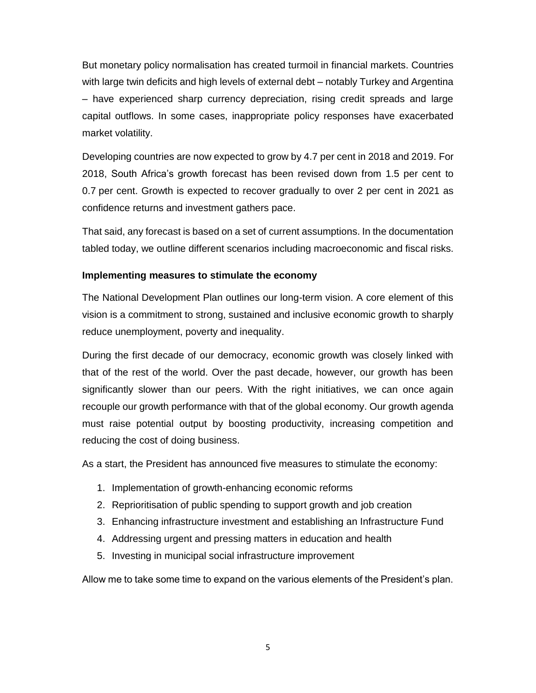But monetary policy normalisation has created turmoil in financial markets. Countries with large twin deficits and high levels of external debt – notably Turkey and Argentina – have experienced sharp currency depreciation, rising credit spreads and large capital outflows. In some cases, inappropriate policy responses have exacerbated market volatility.

Developing countries are now expected to grow by 4.7 per cent in 2018 and 2019. For 2018, South Africa's growth forecast has been revised down from 1.5 per cent to 0.7 per cent. Growth is expected to recover gradually to over 2 per cent in 2021 as confidence returns and investment gathers pace.

That said, any forecast is based on a set of current assumptions. In the documentation tabled today, we outline different scenarios including macroeconomic and fiscal risks.

### **Implementing measures to stimulate the economy**

The National Development Plan outlines our long-term vision. A core element of this vision is a commitment to strong, sustained and inclusive economic growth to sharply reduce unemployment, poverty and inequality.

During the first decade of our democracy, economic growth was closely linked with that of the rest of the world. Over the past decade, however, our growth has been significantly slower than our peers. With the right initiatives, we can once again recouple our growth performance with that of the global economy. Our growth agenda must raise potential output by boosting productivity, increasing competition and reducing the cost of doing business.

As a start, the President has announced five measures to stimulate the economy:

- 1. Implementation of growth-enhancing economic reforms
- 2. Reprioritisation of public spending to support growth and job creation
- 3. Enhancing infrastructure investment and establishing an Infrastructure Fund
- 4. Addressing urgent and pressing matters in education and health
- 5. Investing in municipal social infrastructure improvement

Allow me to take some time to expand on the various elements of the President's plan.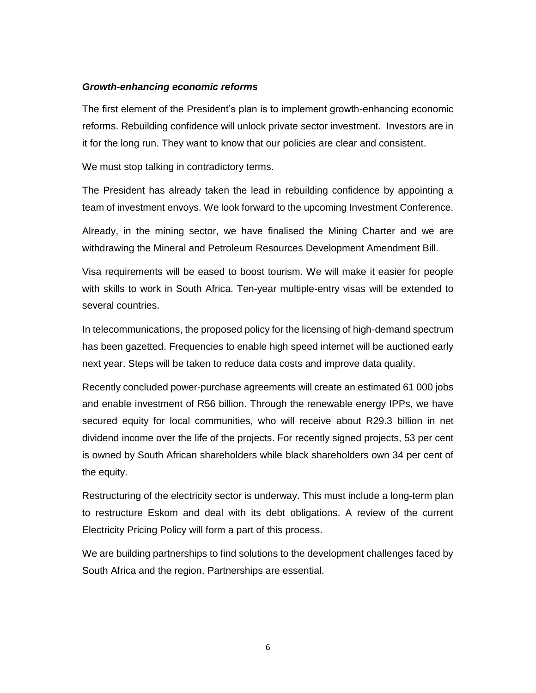#### *Growth-enhancing economic reforms*

The first element of the President's plan is to implement growth-enhancing economic reforms. Rebuilding confidence will unlock private sector investment. Investors are in it for the long run. They want to know that our policies are clear and consistent.

We must stop talking in contradictory terms.

The President has already taken the lead in rebuilding confidence by appointing a team of investment envoys. We look forward to the upcoming Investment Conference.

Already, in the mining sector, we have finalised the Mining Charter and we are withdrawing the Mineral and Petroleum Resources Development Amendment Bill.

Visa requirements will be eased to boost tourism. We will make it easier for people with skills to work in South Africa. Ten-year multiple-entry visas will be extended to several countries.

In telecommunications, the proposed policy for the licensing of high-demand spectrum has been gazetted. Frequencies to enable high speed internet will be auctioned early next year. Steps will be taken to reduce data costs and improve data quality.

Recently concluded power-purchase agreements will create an estimated 61 000 jobs and enable investment of R56 billion. Through the renewable energy IPPs, we have secured equity for local communities, who will receive about R29.3 billion in net dividend income over the life of the projects. For recently signed projects, 53 per cent is owned by South African shareholders while black shareholders own 34 per cent of the equity.

Restructuring of the electricity sector is underway. This must include a long-term plan to restructure Eskom and deal with its debt obligations. A review of the current Electricity Pricing Policy will form a part of this process.

We are building partnerships to find solutions to the development challenges faced by South Africa and the region. Partnerships are essential.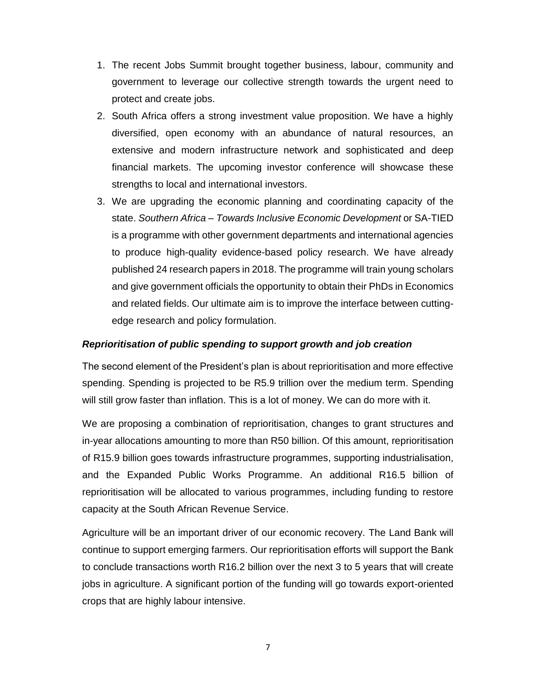- 1. The recent Jobs Summit brought together business, labour, community and government to leverage our collective strength towards the urgent need to protect and create jobs.
- 2. South Africa offers a strong investment value proposition. We have a highly diversified, open economy with an abundance of natural resources, an extensive and modern infrastructure network and sophisticated and deep financial markets. The upcoming investor conference will showcase these strengths to local and international investors.
- 3. We are upgrading the economic planning and coordinating capacity of the state. *Southern Africa – Towards Inclusive Economic Development* or SA-TIED is a programme with other government departments and international agencies to produce high-quality evidence-based policy research. We have already published 24 research papers in 2018. The programme will train young scholars and give government officials the opportunity to obtain their PhDs in Economics and related fields. Our ultimate aim is to improve the interface between cuttingedge research and policy formulation.

### *Reprioritisation of public spending to support growth and job creation*

The second element of the President's plan is about reprioritisation and more effective spending. Spending is projected to be R5.9 trillion over the medium term. Spending will still grow faster than inflation. This is a lot of money. We can do more with it.

We are proposing a combination of reprioritisation, changes to grant structures and in-year allocations amounting to more than R50 billion. Of this amount, reprioritisation of R15.9 billion goes towards infrastructure programmes, supporting industrialisation, and the Expanded Public Works Programme. An additional R16.5 billion of reprioritisation will be allocated to various programmes, including funding to restore capacity at the South African Revenue Service.

Agriculture will be an important driver of our economic recovery. The Land Bank will continue to support emerging farmers. Our reprioritisation efforts will support the Bank to conclude transactions worth R16.2 billion over the next 3 to 5 years that will create jobs in agriculture. A significant portion of the funding will go towards export-oriented crops that are highly labour intensive.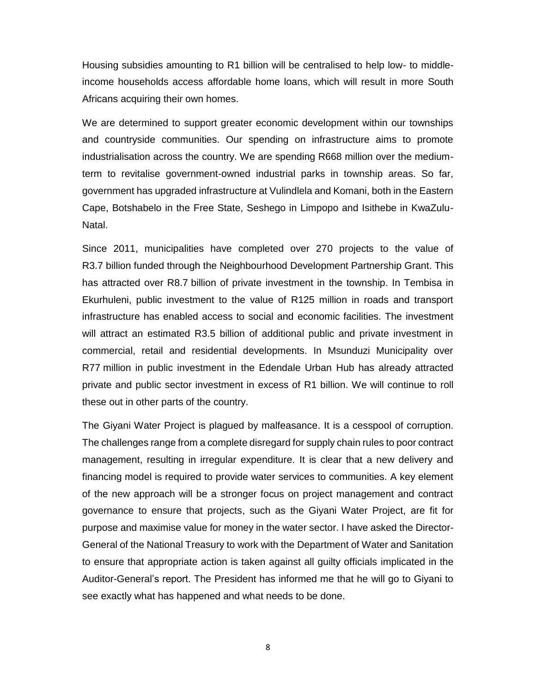Housing subsidies amounting to R1 billion will be centralised to help low- to middleincome households access affordable home loans, which will result in more South Africans acquiring their own homes.

We are determined to support greater economic development within our townships and countryside communities. Our spending on infrastructure aims to promote industrialisation across the country. We are spending R668 million over the mediumterm to revitalise government-owned industrial parks in township areas. So far, government has upgraded infrastructure at Vulindlela and Komani, both in the Eastern Cape, Botshabelo in the Free State, Seshego in Limpopo and Isithebe in KwaZulu-Natal.

Since 2011, municipalities have completed over 270 projects to the value of R3.7 billion funded through the Neighbourhood Development Partnership Grant. This has attracted over R8.7 billion of private investment in the township. In Tembisa in Ekurhuleni, public investment to the value of R125 million in roads and transport infrastructure has enabled access to social and economic facilities. The investment will attract an estimated R3.5 billion of additional public and private investment in commercial, retail and residential developments. In Msunduzi Municipality over R77 million in public investment in the Edendale Urban Hub has already attracted private and public sector investment in excess of R1 billion. We will continue to roll these out in other parts of the country.

The Giyani Water Project is plagued by malfeasance. It is a cesspool of corruption. The challenges range from a complete disregard for supply chain rules to poor contract management, resulting in irregular expenditure. It is clear that a new delivery and financing model is required to provide water services to communities. A key element of the new approach will be a stronger focus on project management and contract governance to ensure that projects, such as the Giyani Water Project, are fit for purpose and maximise value for money in the water sector. I have asked the Director-General of the National Treasury to work with the Department of Water and Sanitation to ensure that appropriate action is taken against all guilty officials implicated in the Auditor-General's report. The President has informed me that he will go to Giyani to see exactly what has happened and what needs to be done.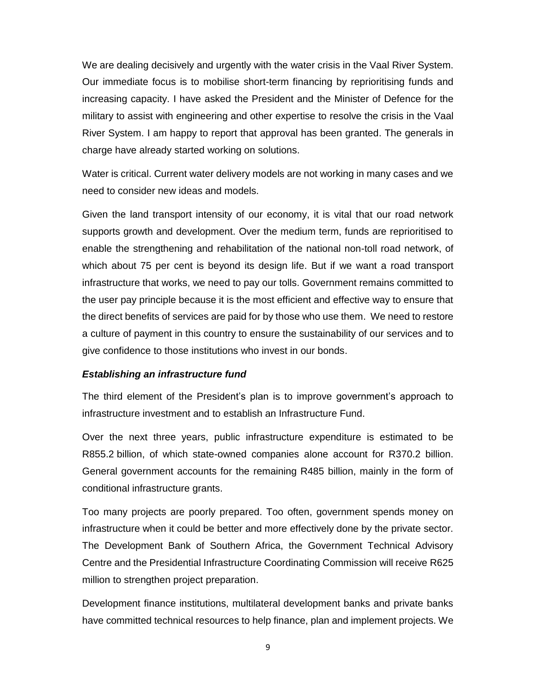We are dealing decisively and urgently with the water crisis in the Vaal River System. Our immediate focus is to mobilise short-term financing by reprioritising funds and increasing capacity. I have asked the President and the Minister of Defence for the military to assist with engineering and other expertise to resolve the crisis in the Vaal River System. I am happy to report that approval has been granted. The generals in charge have already started working on solutions.

Water is critical. Current water delivery models are not working in many cases and we need to consider new ideas and models.

Given the land transport intensity of our economy, it is vital that our road network supports growth and development. Over the medium term, funds are reprioritised to enable the strengthening and rehabilitation of the national non-toll road network, of which about 75 per cent is beyond its design life. But if we want a road transport infrastructure that works, we need to pay our tolls. Government remains committed to the user pay principle because it is the most efficient and effective way to ensure that the direct benefits of services are paid for by those who use them. We need to restore a culture of payment in this country to ensure the sustainability of our services and to give confidence to those institutions who invest in our bonds.

### *Establishing an infrastructure fund*

The third element of the President's plan is to improve government's approach to infrastructure investment and to establish an Infrastructure Fund.

Over the next three years, public infrastructure expenditure is estimated to be R855.2 billion, of which state-owned companies alone account for R370.2 billion. General government accounts for the remaining R485 billion, mainly in the form of conditional infrastructure grants.

Too many projects are poorly prepared. Too often, government spends money on infrastructure when it could be better and more effectively done by the private sector. The Development Bank of Southern Africa, the Government Technical Advisory Centre and the Presidential Infrastructure Coordinating Commission will receive R625 million to strengthen project preparation.

Development finance institutions, multilateral development banks and private banks have committed technical resources to help finance, plan and implement projects. We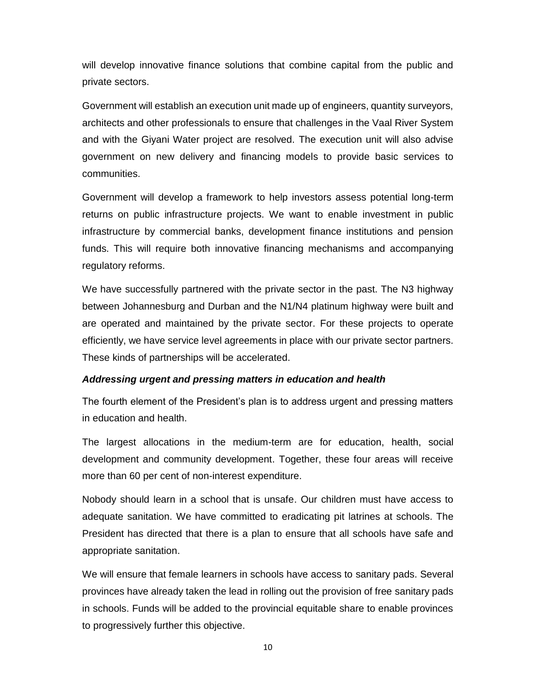will develop innovative finance solutions that combine capital from the public and private sectors.

Government will establish an execution unit made up of engineers, quantity surveyors, architects and other professionals to ensure that challenges in the Vaal River System and with the Giyani Water project are resolved. The execution unit will also advise government on new delivery and financing models to provide basic services to communities.

Government will develop a framework to help investors assess potential long-term returns on public infrastructure projects. We want to enable investment in public infrastructure by commercial banks, development finance institutions and pension funds. This will require both innovative financing mechanisms and accompanying regulatory reforms.

We have successfully partnered with the private sector in the past. The N3 highway between Johannesburg and Durban and the N1/N4 platinum highway were built and are operated and maintained by the private sector. For these projects to operate efficiently, we have service level agreements in place with our private sector partners. These kinds of partnerships will be accelerated.

### *Addressing urgent and pressing matters in education and health*

The fourth element of the President's plan is to address urgent and pressing matters in education and health.

The largest allocations in the medium-term are for education, health, social development and community development. Together, these four areas will receive more than 60 per cent of non-interest expenditure.

Nobody should learn in a school that is unsafe. Our children must have access to adequate sanitation. We have committed to eradicating pit latrines at schools. The President has directed that there is a plan to ensure that all schools have safe and appropriate sanitation.

We will ensure that female learners in schools have access to sanitary pads. Several provinces have already taken the lead in rolling out the provision of free sanitary pads in schools. Funds will be added to the provincial equitable share to enable provinces to progressively further this objective.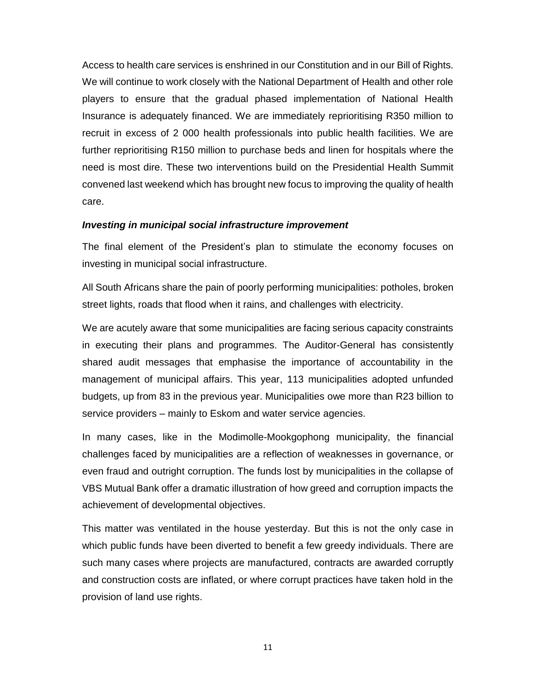Access to health care services is enshrined in our Constitution and in our Bill of Rights. We will continue to work closely with the National Department of Health and other role players to ensure that the gradual phased implementation of National Health Insurance is adequately financed. We are immediately reprioritising R350 million to recruit in excess of 2 000 health professionals into public health facilities. We are further reprioritising R150 million to purchase beds and linen for hospitals where the need is most dire. These two interventions build on the Presidential Health Summit convened last weekend which has brought new focus to improving the quality of health care.

#### *Investing in municipal social infrastructure improvement*

The final element of the President's plan to stimulate the economy focuses on investing in municipal social infrastructure.

All South Africans share the pain of poorly performing municipalities: potholes, broken street lights, roads that flood when it rains, and challenges with electricity.

We are acutely aware that some municipalities are facing serious capacity constraints in executing their plans and programmes. The Auditor-General has consistently shared audit messages that emphasise the importance of accountability in the management of municipal affairs. This year, 113 municipalities adopted unfunded budgets, up from 83 in the previous year. Municipalities owe more than R23 billion to service providers – mainly to Eskom and water service agencies.

In many cases, like in the Modimolle-Mookgophong municipality, the financial challenges faced by municipalities are a reflection of weaknesses in governance, or even fraud and outright corruption. The funds lost by municipalities in the collapse of VBS Mutual Bank offer a dramatic illustration of how greed and corruption impacts the achievement of developmental objectives.

This matter was ventilated in the house yesterday. But this is not the only case in which public funds have been diverted to benefit a few greedy individuals. There are such many cases where projects are manufactured, contracts are awarded corruptly and construction costs are inflated, or where corrupt practices have taken hold in the provision of land use rights.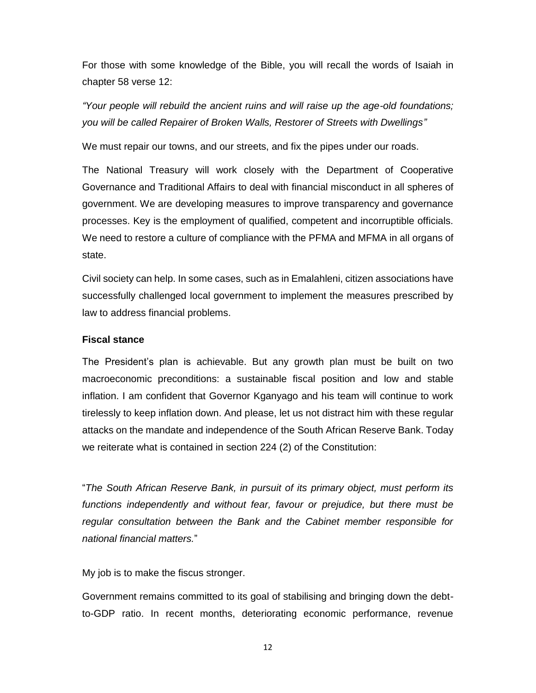For those with some knowledge of the Bible, you will recall the words of Isaiah in chapter 58 verse 12:

*"Your people will rebuild the ancient ruins and will raise up the age-old foundations; you will be called Repairer of Broken Walls, Restorer of Streets with Dwellings"*

We must repair our towns, and our streets, and fix the pipes under our roads.

The National Treasury will work closely with the Department of Cooperative Governance and Traditional Affairs to deal with financial misconduct in all spheres of government. We are developing measures to improve transparency and governance processes. Key is the employment of qualified, competent and incorruptible officials. We need to restore a culture of compliance with the PFMA and MFMA in all organs of state.

Civil society can help. In some cases, such as in Emalahleni, citizen associations have successfully challenged local government to implement the measures prescribed by law to address financial problems.

#### **Fiscal stance**

The President's plan is achievable. But any growth plan must be built on two macroeconomic preconditions: a sustainable fiscal position and low and stable inflation. I am confident that Governor Kganyago and his team will continue to work tirelessly to keep inflation down. And please, let us not distract him with these regular attacks on the mandate and independence of the South African Reserve Bank. Today we reiterate what is contained in section 224 (2) of the Constitution:

"*The South African Reserve Bank, in pursuit of its primary object, must perform its functions independently and without fear, favour or prejudice, but there must be regular consultation between the Bank and the Cabinet member responsible for national financial matters.*"

My job is to make the fiscus stronger.

Government remains committed to its goal of stabilising and bringing down the debtto-GDP ratio. In recent months, deteriorating economic performance, revenue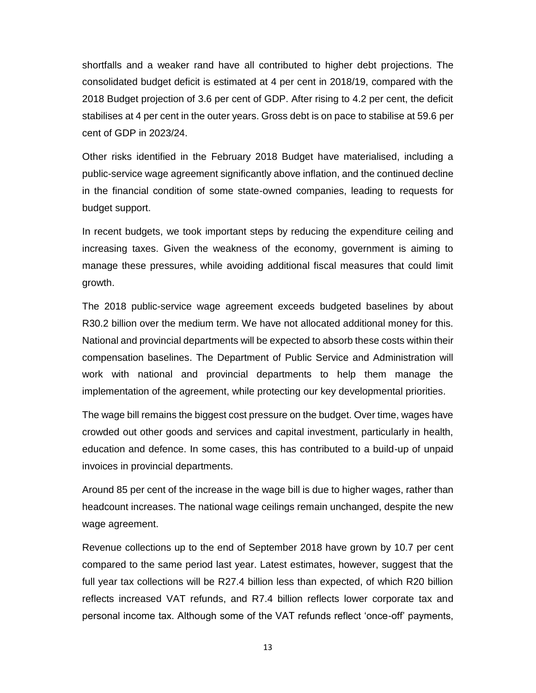shortfalls and a weaker rand have all contributed to higher debt projections. The consolidated budget deficit is estimated at 4 per cent in 2018/19, compared with the 2018 Budget projection of 3.6 per cent of GDP. After rising to 4.2 per cent, the deficit stabilises at 4 per cent in the outer years. Gross debt is on pace to stabilise at 59.6 per cent of GDP in 2023/24.

Other risks identified in the February 2018 Budget have materialised, including a public-service wage agreement significantly above inflation, and the continued decline in the financial condition of some state-owned companies, leading to requests for budget support.

In recent budgets, we took important steps by reducing the expenditure ceiling and increasing taxes. Given the weakness of the economy, government is aiming to manage these pressures, while avoiding additional fiscal measures that could limit growth.

The 2018 public-service wage agreement exceeds budgeted baselines by about R30.2 billion over the medium term. We have not allocated additional money for this. National and provincial departments will be expected to absorb these costs within their compensation baselines. The Department of Public Service and Administration will work with national and provincial departments to help them manage the implementation of the agreement, while protecting our key developmental priorities.

The wage bill remains the biggest cost pressure on the budget. Over time, wages have crowded out other goods and services and capital investment, particularly in health, education and defence. In some cases, this has contributed to a build-up of unpaid invoices in provincial departments.

Around 85 per cent of the increase in the wage bill is due to higher wages, rather than headcount increases. The national wage ceilings remain unchanged, despite the new wage agreement.

Revenue collections up to the end of September 2018 have grown by 10.7 per cent compared to the same period last year. Latest estimates, however, suggest that the full year tax collections will be R27.4 billion less than expected, of which R20 billion reflects increased VAT refunds, and R7.4 billion reflects lower corporate tax and personal income tax. Although some of the VAT refunds reflect 'once-off' payments,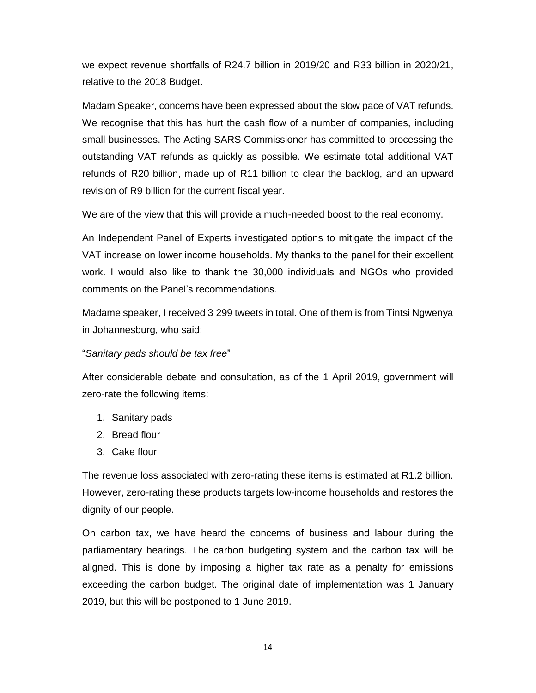we expect revenue shortfalls of R24.7 billion in 2019/20 and R33 billion in 2020/21, relative to the 2018 Budget.

Madam Speaker, concerns have been expressed about the slow pace of VAT refunds. We recognise that this has hurt the cash flow of a number of companies, including small businesses. The Acting SARS Commissioner has committed to processing the outstanding VAT refunds as quickly as possible. We estimate total additional VAT refunds of R20 billion, made up of R11 billion to clear the backlog, and an upward revision of R9 billion for the current fiscal year.

We are of the view that this will provide a much-needed boost to the real economy.

An Independent Panel of Experts investigated options to mitigate the impact of the VAT increase on lower income households. My thanks to the panel for their excellent work. I would also like to thank the 30,000 individuals and NGOs who provided comments on the Panel's recommendations.

Madame speaker, I received 3 299 tweets in total. One of them is from Tintsi Ngwenya in Johannesburg, who said:

### "*Sanitary pads should be tax free*"

After considerable debate and consultation, as of the 1 April 2019, government will zero-rate the following items:

- 1. Sanitary pads
- 2. Bread flour
- 3. Cake flour

The revenue loss associated with zero-rating these items is estimated at R1.2 billion. However, zero-rating these products targets low-income households and restores the dignity of our people.

On carbon tax, we have heard the concerns of business and labour during the parliamentary hearings. The carbon budgeting system and the carbon tax will be aligned. This is done by imposing a higher tax rate as a penalty for emissions exceeding the carbon budget. The original date of implementation was 1 January 2019, but this will be postponed to 1 June 2019.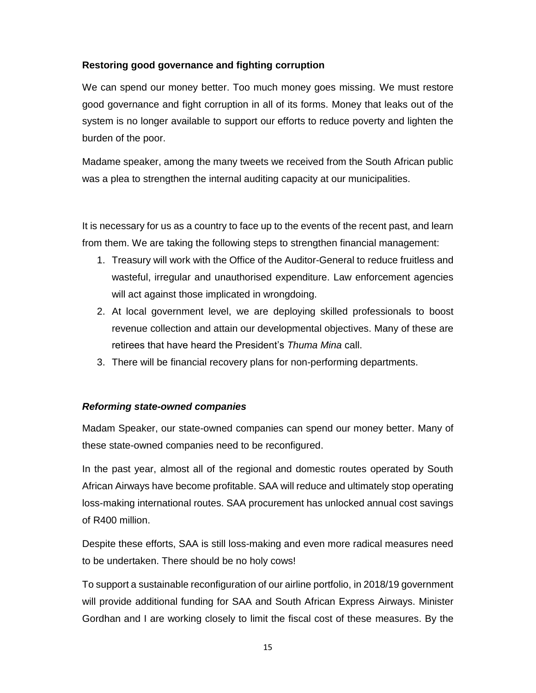# **Restoring good governance and fighting corruption**

We can spend our money better. Too much money goes missing. We must restore good governance and fight corruption in all of its forms. Money that leaks out of the system is no longer available to support our efforts to reduce poverty and lighten the burden of the poor.

Madame speaker, among the many tweets we received from the South African public was a plea to strengthen the internal auditing capacity at our municipalities.

It is necessary for us as a country to face up to the events of the recent past, and learn from them. We are taking the following steps to strengthen financial management:

- 1. Treasury will work with the Office of the Auditor-General to reduce fruitless and wasteful, irregular and unauthorised expenditure. Law enforcement agencies will act against those implicated in wrongdoing.
- 2. At local government level, we are deploying skilled professionals to boost revenue collection and attain our developmental objectives. Many of these are retirees that have heard the President's *Thuma Mina* call.
- 3. There will be financial recovery plans for non-performing departments.

## *Reforming state-owned companies*

Madam Speaker, our state-owned companies can spend our money better. Many of these state-owned companies need to be reconfigured.

In the past year, almost all of the regional and domestic routes operated by South African Airways have become profitable. SAA will reduce and ultimately stop operating loss-making international routes. SAA procurement has unlocked annual cost savings of R400 million.

Despite these efforts, SAA is still loss-making and even more radical measures need to be undertaken. There should be no holy cows!

To support a sustainable reconfiguration of our airline portfolio, in 2018/19 government will provide additional funding for SAA and South African Express Airways. Minister Gordhan and I are working closely to limit the fiscal cost of these measures. By the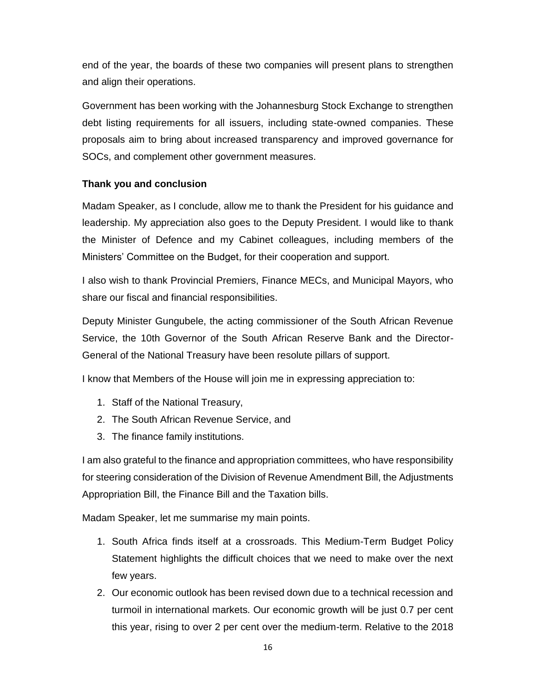end of the year, the boards of these two companies will present plans to strengthen and align their operations.

Government has been working with the Johannesburg Stock Exchange to strengthen debt listing requirements for all issuers, including state-owned companies. These proposals aim to bring about increased transparency and improved governance for SOCs, and complement other government measures.

## **Thank you and conclusion**

Madam Speaker, as I conclude, allow me to thank the President for his guidance and leadership. My appreciation also goes to the Deputy President. I would like to thank the Minister of Defence and my Cabinet colleagues, including members of the Ministers' Committee on the Budget, for their cooperation and support.

I also wish to thank Provincial Premiers, Finance MECs, and Municipal Mayors, who share our fiscal and financial responsibilities.

Deputy Minister Gungubele, the acting commissioner of the South African Revenue Service, the 10th Governor of the South African Reserve Bank and the Director-General of the National Treasury have been resolute pillars of support.

I know that Members of the House will join me in expressing appreciation to:

- 1. Staff of the National Treasury,
- 2. The South African Revenue Service, and
- 3. The finance family institutions.

I am also grateful to the finance and appropriation committees, who have responsibility for steering consideration of the Division of Revenue Amendment Bill, the Adjustments Appropriation Bill, the Finance Bill and the Taxation bills.

Madam Speaker, let me summarise my main points.

- 1. South Africa finds itself at a crossroads. This Medium-Term Budget Policy Statement highlights the difficult choices that we need to make over the next few years.
- 2. Our economic outlook has been revised down due to a technical recession and turmoil in international markets. Our economic growth will be just 0.7 per cent this year, rising to over 2 per cent over the medium-term. Relative to the 2018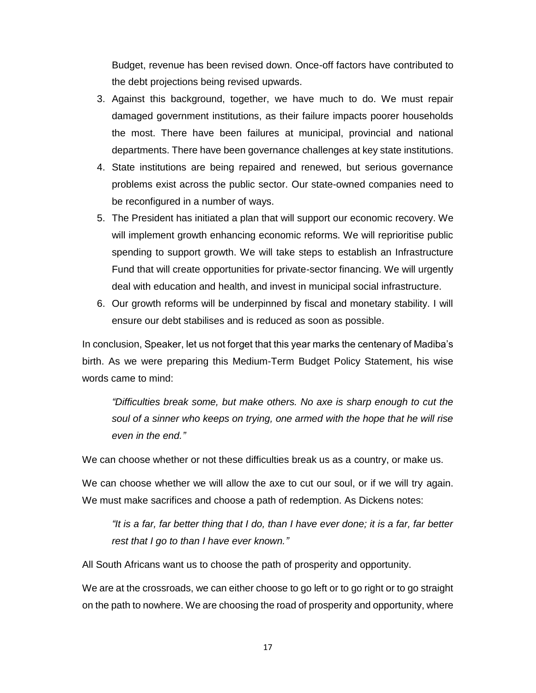Budget, revenue has been revised down. Once-off factors have contributed to the debt projections being revised upwards.

- 3. Against this background, together, we have much to do. We must repair damaged government institutions, as their failure impacts poorer households the most. There have been failures at municipal, provincial and national departments. There have been governance challenges at key state institutions.
- 4. State institutions are being repaired and renewed, but serious governance problems exist across the public sector. Our state-owned companies need to be reconfigured in a number of ways.
- 5. The President has initiated a plan that will support our economic recovery. We will implement growth enhancing economic reforms. We will reprioritise public spending to support growth. We will take steps to establish an Infrastructure Fund that will create opportunities for private-sector financing. We will urgently deal with education and health, and invest in municipal social infrastructure.
- 6. Our growth reforms will be underpinned by fiscal and monetary stability. I will ensure our debt stabilises and is reduced as soon as possible.

In conclusion, Speaker, let us not forget that this year marks the centenary of Madiba's birth. As we were preparing this Medium-Term Budget Policy Statement, his wise words came to mind:

*"Difficulties break some, but make others. No axe is sharp enough to cut the soul of a sinner who keeps on trying, one armed with the hope that he will rise even in the end."*

We can choose whether or not these difficulties break us as a country, or make us.

We can choose whether we will allow the axe to cut our soul, or if we will try again. We must make sacrifices and choose a path of redemption. As Dickens notes:

*"It is a far, far better thing that I do, than I have ever done; it is a far, far better rest that I go to than I have ever known."*

All South Africans want us to choose the path of prosperity and opportunity.

We are at the crossroads, we can either choose to go left or to go right or to go straight on the path to nowhere. We are choosing the road of prosperity and opportunity, where